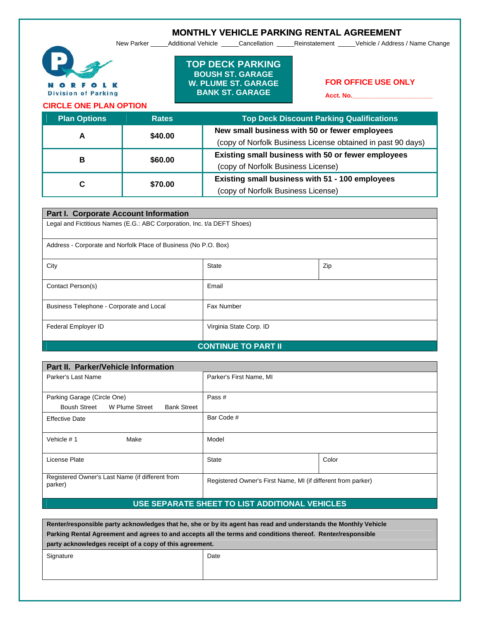$\qquad \qquad$  $\qquad \qquad$  $\qquad \qquad$ 

 $\begin{array}{ccccccccccccccccc} \Box & & \Box & & \Box & & \Box \end{array}$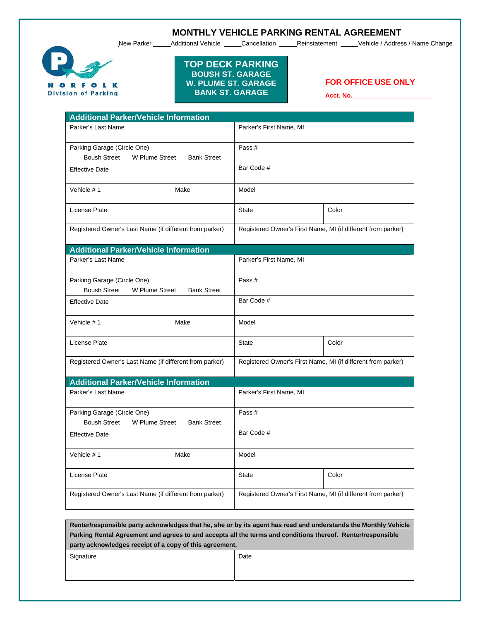$\begin{array}{ccccccccccccccccc} \Box & \Box & \Box & \Box & \Box \end{array}$  $\begin{array}{ccccccccccccccccc} \Box & \Box & \Box & \Box & \Box \end{array}$ 

 $\begin{array}{ccccccccccccccccc} \Box & \Box & \Box & \Box & \Box \end{array}$